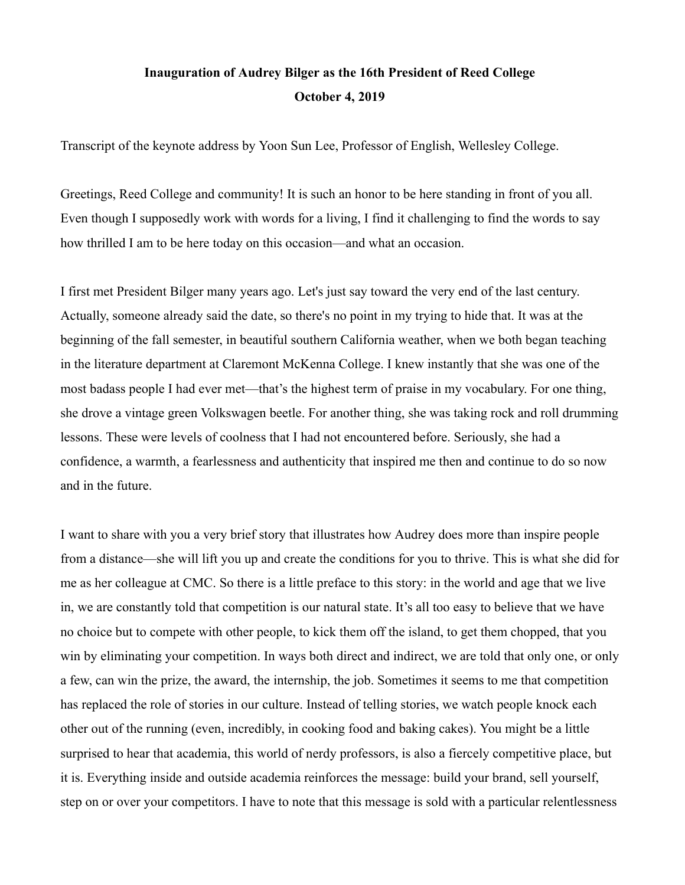## **Inauguration of Audrey Bilger as the 16th President of Reed College October 4, 2019**

Transcript of the keynote address by Yoon Sun Lee, Professor of English, Wellesley College.

Greetings, Reed College and community! It is such an honor to be here standing in front of you all. Even though I supposedly work with words for a living, I find it challenging to find the words to say how thrilled I am to be here today on this occasion—and what an occasion.

I first met President Bilger many years ago. Let's just say toward the very end of the last century. Actually, someone already said the date, so there's no point in my trying to hide that. It was at the beginning of the fall semester, in beautiful southern California weather, when we both began teaching in the literature department at Claremont McKenna College. I knew instantly that she was one of the most badass people I had ever met—that's the highest term of praise in my vocabulary. For one thing, she drove a vintage green Volkswagen beetle. For another thing, she was taking rock and roll drumming lessons. These were levels of coolness that I had not encountered before. Seriously, she had a confidence, a warmth, a fearlessness and authenticity that inspired me then and continue to do so now and in the future.

I want to share with you a very brief story that illustrates how Audrey does more than inspire people from a distance—she will lift you up and create the conditions for you to thrive. This is what she did for me as her colleague at CMC. So there is a little preface to this story: in the world and age that we live in, we are constantly told that competition is our natural state. It's all too easy to believe that we have no choice but to compete with other people, to kick them off the island, to get them chopped, that you win by eliminating your competition. In ways both direct and indirect, we are told that only one, or only a few, can win the prize, the award, the internship, the job. Sometimes it seems to me that competition has replaced the role of stories in our culture. Instead of telling stories, we watch people knock each other out of the running (even, incredibly, in cooking food and baking cakes). You might be a little surprised to hear that academia, this world of nerdy professors, is also a fiercely competitive place, but it is. Everything inside and outside academia reinforces the message: build your brand, sell yourself, step on or over your competitors. I have to note that this message is sold with a particular relentlessness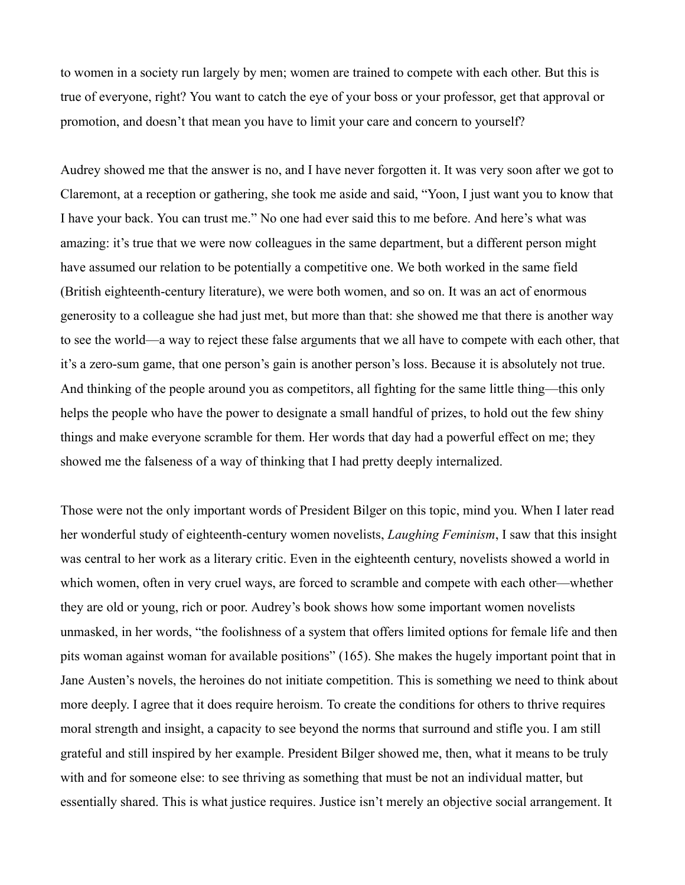to women in a society run largely by men; women are trained to compete with each other. But this is true of everyone, right? You want to catch the eye of your boss or your professor, get that approval or promotion, and doesn't that mean you have to limit your care and concern to yourself?

Audrey showed me that the answer is no, and I have never forgotten it. It was very soon after we got to Claremont, at a reception or gathering, she took me aside and said, "Yoon, I just want you to know that I have your back. You can trust me." No one had ever said this to me before. And here's what was amazing: it's true that we were now colleagues in the same department, but a different person might have assumed our relation to be potentially a competitive one. We both worked in the same field (British eighteenth-century literature), we were both women, and so on. It was an act of enormous generosity to a colleague she had just met, but more than that: she showed me that there is another way to see the world—a way to reject these false arguments that we all have to compete with each other, that it's a zero-sum game, that one person's gain is another person's loss. Because it is absolutely not true. And thinking of the people around you as competitors, all fighting for the same little thing—this only helps the people who have the power to designate a small handful of prizes, to hold out the few shiny things and make everyone scramble for them. Her words that day had a powerful effect on me; they showed me the falseness of a way of thinking that I had pretty deeply internalized.

Those were not the only important words of President Bilger on this topic, mind you. When I later read her wonderful study of eighteenth-century women novelists, *Laughing Feminism* , I saw that this insight was central to her work as a literary critic. Even in the eighteenth century, novelists showed a world in which women, often in very cruel ways, are forced to scramble and compete with each other—whether they are old or young, rich or poor. Audrey's book shows how some important women novelists unmasked, in her words, "the foolishness of a system that offers limited options for female life and then pits woman against woman for available positions" (165). She makes the hugely important point that in Jane Austen's novels, the heroines do not initiate competition. This is something we need to think about more deeply. I agree that it does require heroism. To create the conditions for others to thrive requires moral strength and insight, a capacity to see beyond the norms that surround and stifle you. I am still grateful and still inspired by her example. President Bilger showed me, then, what it means to be truly with and for someone else: to see thriving as something that must be not an individual matter, but essentially shared. This is what justice requires. Justice isn't merely an objective social arrangement. It